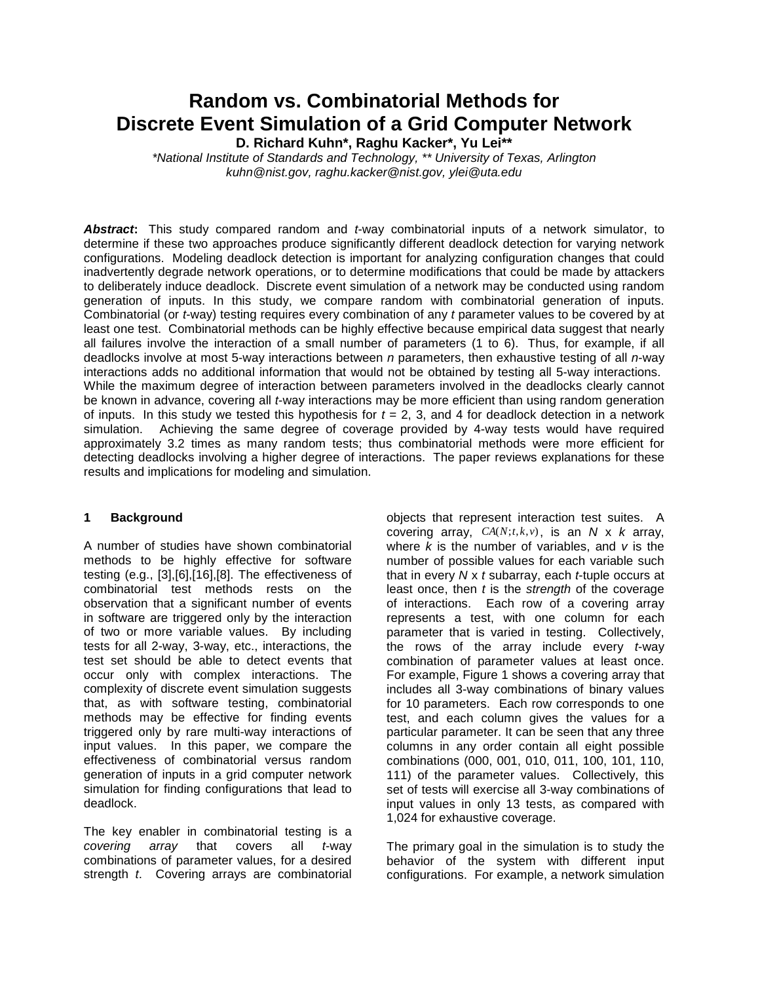# **Random vs. Combinatorial Methods for Discrete Event Simulation of a Grid Computer Network**

**D. Richard Kuhn\*, Raghu Kacker\*, Yu Lei\*\*** 

 \*National Institute of Standards and Technology, \*\* University of Texas, Arlington kuhn@nist.gov, raghu.kacker@nist.gov, ylei@uta.edu

Abstract: This study compared random and t-way combinatorial inputs of a network simulator, to determine if these two approaches produce significantly different deadlock detection for varying network configurations. Modeling deadlock detection is important for analyzing configuration changes that could inadvertently degrade network operations, or to determine modifications that could be made by attackers to deliberately induce deadlock. Discrete event simulation of a network may be conducted using random generation of inputs. In this study, we compare random with combinatorial generation of inputs. Combinatorial (or *t*-way) testing requires every combination of any t parameter values to be covered by at least one test. Combinatorial methods can be highly effective because empirical data suggest that nearly all failures involve the interaction of a small number of parameters (1 to 6). Thus, for example, if all deadlocks involve at most 5-way interactions between  $n$  parameters, then exhaustive testing of all  $n$ -way interactions adds no additional information that would not be obtained by testing all 5-way interactions. While the maximum degree of interaction between parameters involved in the deadlocks clearly cannot be known in advance, covering all *t*-way interactions may be more efficient than using random generation of inputs. In this study we tested this hypothesis for  $t = 2$ , 3, and 4 for deadlock detection in a network simulation. Achieving the same degree of coverage provided by 4-way tests would have required approximately 3.2 times as many random tests; thus combinatorial methods were more efficient for detecting deadlocks involving a higher degree of interactions. The paper reviews explanations for these results and implications for modeling and simulation.

#### **Background 1**

 A number of studies have shown combinatorial methods to be highly effective for software testing (e.g., [3],[6],[16],[8]. The effectiveness of combinatorial test methods rests on the observation that a significant number of events in software are triggered only by the interaction of two or more variable values. By including tests for all 2-way, 3-way, etc., interactions, the test set should be able to detect events that occur only with complex interactions. The complexity of discrete event simulation suggests that, as with software testing, combinatorial methods may be effective for finding events triggered only by rare multi-way interactions of input values. In this paper, we compare the effectiveness of combinatorial versus random generation of inputs in a grid computer network simulation for finding configurations that lead to deadlock.

 The key enabler in combinatorial testing is a arrav combinations of parameter values, for a desired strength t. Covering arrays are combinatorial covering array that covers all t-way

 objects that represent interaction test suites. A covering array,  $CA(N; t, k, v)$ , is an N x k array, where  $k$  is the number of variables, and  $v$  is the number of possible values for each variable such that in every  $N \times t$  subarray, each  $t$ -tuple occurs at least once, then  $t$  is the strength of the coverage of interactions. Each row of a covering array represents a test, with one column for each parameter that is varied in testing. Collectively, the rows of the array include every t-way combination of parameter values at least once. For example, Figure 1 shows a covering array that includes all 3-way combinations of binary values for 10 parameters. Each row corresponds to one test, and each column gives the values for a particular parameter. It can be seen that any three columns in any order contain all eight possible combinations (000, 001, 010, 011, 100, 101, 110, 111) of the parameter values. Collectively, this set of tests will exercise all 3-way combinations of input values in only 13 tests, as compared with 1,024 for exhaustive coverage.

 The primary goal in the simulation is to study the behavior of the system with different input configurations. For example, a network simulation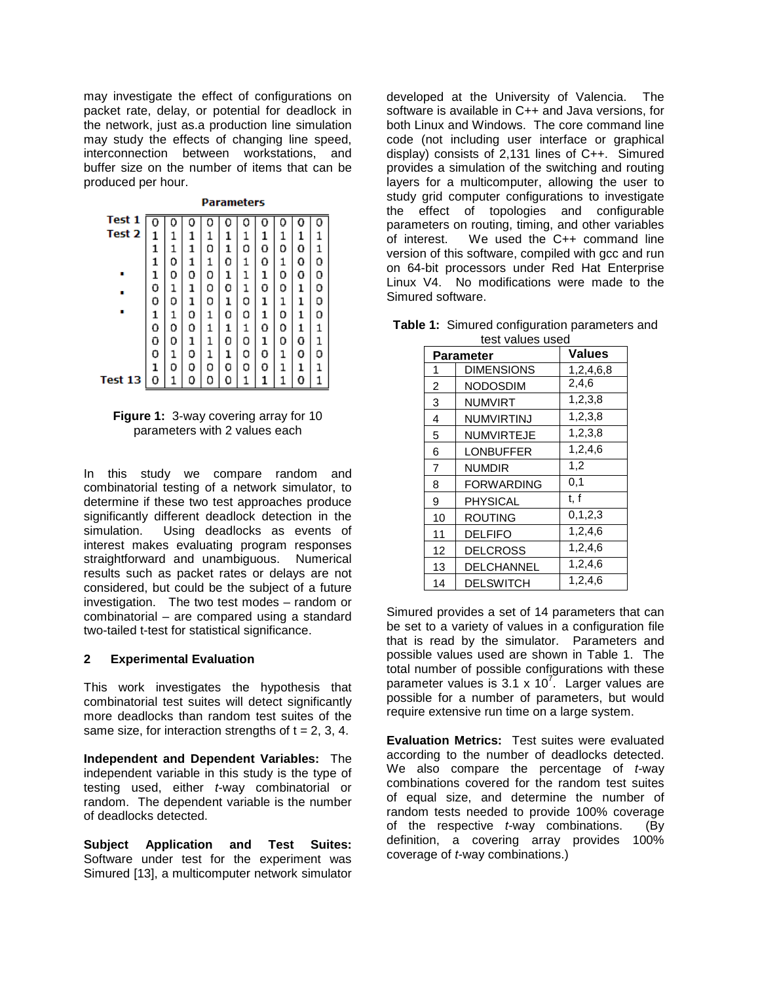may investigate the effect of configurations on packet rate, delay, or potential for deadlock in the network, just as.a production line simulation may study the effects of changing line speed, interconnection between workstations, and buffer size on the number of items that can be produced per hour.

| Test 1  | 0 |   | 0 |   |   |   | Ω | Ω | 0 |   |
|---------|---|---|---|---|---|---|---|---|---|---|
| Test 2  | 1 |   | 1 | 1 | 1 | 1 | 1 | 1 | ı |   |
|         | 1 | 1 | 1 | 0 | 1 | 0 | o | 0 | 0 |   |
|         | 1 | 0 | 1 | 1 | 0 | 1 | 0 | 1 | 0 | n |
|         | ı | 0 | 0 | 0 | ı | 1 | ı | 0 | 0 | n |
|         | Ō | 1 | ı | 0 | o | 1 | o | 0 | 1 | o |
|         | 0 | O | ı | о | ı | 0 | ı | 1 |   | D |
|         | 1 | 1 | 0 | 1 | 0 | 0 | 1 | 0 | 1 | n |
|         | ٥ | 0 | о | 1 | 1 | 1 | ٥ | 0 | 1 |   |
|         | o | 0 | 1 |   | ο | 0 | ı | 0 | o |   |
|         | 0 | 1 | о | 1 | ı | о | 0 | 1 | o | n |
|         | ı | О | 0 | О | 0 | о | 0 | 1 |   |   |
| Test 13 | 0 |   | ۵ | ٥ | n |   |   |   |   |   |

**Parameters** 

 **Figure 1:** 3-way covering array for 10 parameters with 2 values each

 In this study we compare random and combinatorial testing of a network simulator, to determine if these two test approaches produce significantly different deadlock detection in the simulation. interest makes evaluating program responses straightforward and unambiguous. Numerical results such as packet rates or delays are not considered, but could be the subject of a future investigation. The two test modes – random or combinatorial – are compared using a standard two-tailed t-test for statistical significance. Using deadlocks as events of

#### **2 Experimental Evaluation**

 This work investigates the hypothesis that combinatorial test suites will detect significantly more deadlocks than random test suites of the same size, for interaction strengths of  $t = 2, 3, 4$ .

 **Independent and Dependent Variables:** The independent variable in this study is the type of testing used, either t-way combinatorial or random. The dependent variable is the number of deadlocks detected.

 **Subject Application and Test Suites:**  Software under test for the experiment was Simured [13], a multicomputer network simulator

 developed at the University of Valencia. The software is available in C++ and Java versions, for both Linux and Windows. The core command line code (not including user interface or graphical display) consists of 2,131 lines of C++. Simured provides a simulation of the switching and routing layers for a multicomputer, allowing the user to study grid computer configurations to investigate the effect of topologies and configurable parameters on routing, timing, and other variables of interest. version of this software, compiled with gcc and run on 64-bit processors under Red Hat Enterprise Linux V4. No modifications were made to the Simured software. We used the  $C++$  command line

|                | Parameter         | <b>Values</b> |
|----------------|-------------------|---------------|
| 1              | <b>DIMENSIONS</b> | 1,2,4,6,8     |
| $\overline{2}$ | <b>NODOSDIM</b>   | 2,4,6         |
| 3              | <b>NUMVIRT</b>    | 1, 2, 3, 8    |
| 4              | <b>NUMVIRTINJ</b> | 1, 2, 3, 8    |
| 5              | <b>NUMVIRTEJE</b> | 1,2,3,8       |
| 6              | <b>LONBUFFER</b>  | 1,2,4,6       |
| 7              | <b>NUMDIR</b>     | 1,2           |
| 8              | <b>FORWARDING</b> | 0,1           |
| 9              | PHYSICAL          | t, f          |
| 10             | <b>ROUTING</b>    | 0, 1, 2, 3    |
| 11             | <b>DELFIFO</b>    | 1,2,4,6       |
| 12             | <b>DELCROSS</b>   | 1,2,4,6       |
| 13             | DELCHANNEL        | 1,2,4,6       |
| 14             | <b>DELSWITCH</b>  | 1,2,4,6       |

 **Table 1:** Simured configuration parameters and test values used

 Simured provides a set of 14 parameters that can be set to a variety of values in a configuration file that is read by the simulator. Parameters and possible values used are shown in Table 1. The total number of possible configurations with these parameter values is 3.1 x 10<sup>7</sup>. Larger values are possible for a number of parameters, but would require extensive run time on a large system.

 **Evaluation Metrics:** Test suites were evaluated according to the number of deadlocks detected. We also compare the percentage of t-way combinations covered for the random test suites of equal size, and determine the number of random tests needed to provide 100% coverage of the respective t-way combinations. (By definition, a covering array provides 100% coverage of *t*-way combinations.)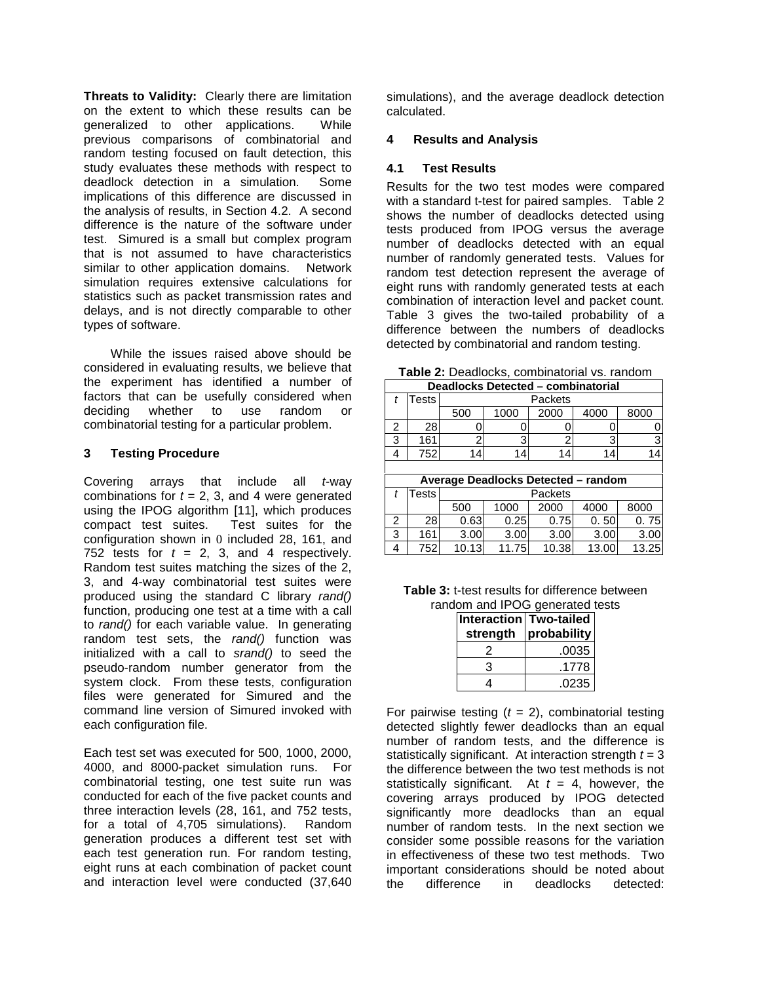**Threats to Validity:** Clearly there are limitation on the extent to which these results can be random testing focused on fault detection, this study evaluates these methods with respect to deadlock detection in a simulation. Some implications of this difference are discussed in the analysis of results, in Section 4.2. A second difference is the nature of the software under test. Simured is a small but complex program that is not assumed to have characteristics similar to other application domains. Network simulation requires extensive calculations for statistics such as packet transmission rates and delays, and is not directly comparable to other types of software. generalized to other applications. While previous comparisons of combinatorial and

 While the issues raised above should be considered in evaluating results, we believe that the experiment has identified a number of factors that can be usefully considered when deciding combinatorial testing for a particular problem. whether to use random or

#### **3 Testing Procedure**

Covering arrays that include all t-way combinations for  $t = 2, 3$ , and 4 were generated using the IPOG algorithm [11], which produces compact test suites. Test suites for the configuration shown in 0 included 28, 161, and 752 tests for  $t = 2, 3,$  and 4 respectively. Random test suites matching the sizes of the 2, 3, and 4-way combinatorial test suites were produced using the standard C library rand() function, producing one test at a time with a call to rand() for each variable value. In generating random test sets, the rand() function was initialized with a call to srand() to seed the pseudo-random number generator from the system clock. From these tests, configuration files were generated for Simured and the command line version of Simured invoked with each configuration file.

 Each test set was executed for 500, 1000, 2000, 4000, and 8000-packet simulation runs. For combinatorial testing, one test suite run was conducted for each of the five packet counts and three interaction levels (28, 161, and 752 tests, for a total of 4,705 simulations). Random generation produces a different test set with each test generation run. For random testing, eight runs at each combination of packet count and interaction level were conducted (37,640  simulations), and the average deadlock detection calculated.

#### **4 Results and Analysis**

#### **4.1 Test Results**

 Results for the two test modes were compared with a standard t-test for paired samples. Table 2 shows the number of deadlocks detected using tests produced from IPOG versus the average number of deadlocks detected with an equal number of randomly generated tests. Values for random test detection represent the average of eight runs with randomly generated tests at each combination of interaction level and packet count. Table 3 gives the two-tailed probability of a difference between the numbers of deadlocks detected by combinatorial and random testing.

**Table 2:** Deadlocks, combinatorial vs. random

| Deadlocks Detected - combinatorial |                 |     |                              |  |  |  |  |  |  |  |
|------------------------------------|-----------------|-----|------------------------------|--|--|--|--|--|--|--|
|                                    | <b>Tests</b>    |     | Packets                      |  |  |  |  |  |  |  |
|                                    |                 | 500 | 2000<br>8000<br>1000<br>4000 |  |  |  |  |  |  |  |
|                                    | 28              |     |                              |  |  |  |  |  |  |  |
| ◠                                  | 16 <sup>7</sup> |     |                              |  |  |  |  |  |  |  |
|                                    | 752             |     |                              |  |  |  |  |  |  |  |
|                                    |                 |     |                              |  |  |  |  |  |  |  |

| Average Deadlocks Detected - random |        |       |         |       |       |       |  |  |  |
|-------------------------------------|--------|-------|---------|-------|-------|-------|--|--|--|
|                                     | Testsl |       | Packets |       |       |       |  |  |  |
|                                     |        | 500   | 1000    | 2000  | 4000  | 8000  |  |  |  |
|                                     | 28     | 0.63  | 0.25    | 0.75  | 0.50  | 0.75  |  |  |  |
|                                     | 161    | 3.00  | 3.00    | 3.00  | 3.00  | 3.00  |  |  |  |
|                                     | 752    | 10.13 | 11.75   | 10.38 | 13.00 | 13.25 |  |  |  |

| <b>Table 3: t-test results for difference between</b> |
|-------------------------------------------------------|
| random and IPOG generated tests                       |

|          | om and IPOG generated t |
|----------|-------------------------|
|          | Interaction Two-tailed  |
| strength | probability             |
| 2        | .0035                   |
| 3        | .1778                   |
|          | .0235                   |

For pairwise testing  $(t = 2)$ , combinatorial testing detected slightly fewer deadlocks than an equal number of random tests, and the difference is statistically significant. At interaction strength  $t = 3$  the difference between the two test methods is not statistically significant. At  $t = 4$ , however, the number of random tests. In the next section we consider some possible reasons for the variation in effectiveness of these two test methods. Two important considerations should be noted about difference covering arrays produced by IPOG detected significantly more deadlocks than an equal the difference in deadlocks detected: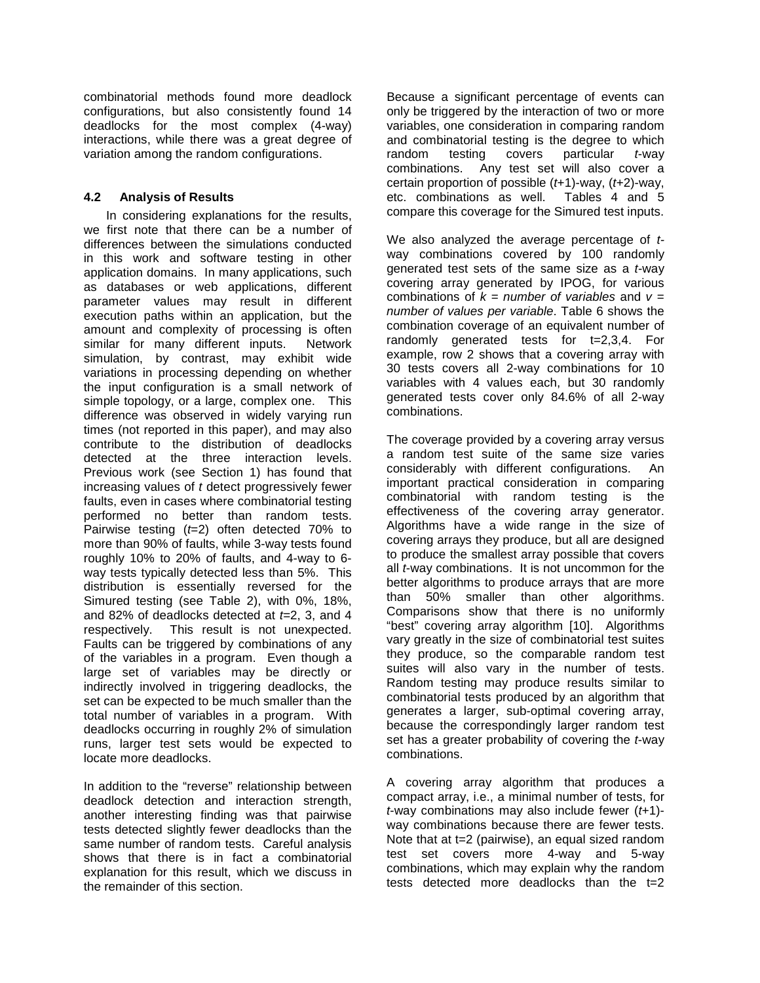combinatorial methods found more deadlock configurations, but also consistently found 14 deadlocks for the most complex (4-way) interactions, while there was a great degree of variation among the random configurations.

## **4.2 Analysis of Results**

 In considering explanations for the results, we first note that there can be a number of differences between the simulations conducted in this work and software testing in other application domains. In many applications, such as databases or web applications, different parameter values may result in different execution paths within an application, but the amount and complexity of processing is often similar for many different inputs. Network simulation, by contrast, may exhibit wide variations in processing depending on whether the input configuration is a small network of simple topology, or a large, complex one. This difference was observed in widely varying run times (not reported in this paper), and may also contribute to the distribution of deadlocks detected at the three interaction levels. Previous work (see Section 1) has found that increasing values of t detect progressively fewer faults, even in cases where combinatorial testing performed no better than random tests. Pairwise testing  $(t=2)$  often detected 70% to more than 90% of faults, while 3-way tests found roughly 10% to 20% of faults, and 4-way to 6 way tests typically detected less than 5%. This distribution is essentially reversed for the Simured testing (see Table 2), with 0%, 18%, and 82% of deadlocks detected at  $t=2, 3$ , and 4 respectively. Faults can be triggered by combinations of any of the variables in a program. Even though a large set of variables may be directly or indirectly involved in triggering deadlocks, the set can be expected to be much smaller than the total number of variables in a program. With deadlocks occurring in roughly 2% of simulation runs, larger test sets would be expected to locate more deadlocks. This result is not unexpected.

 In addition to the "reverse" relationship between deadlock detection and interaction strength, another interesting finding was that pairwise tests detected slightly fewer deadlocks than the same number of random tests. Careful analysis shows that there is in fact a combinatorial explanation for this result, which we discuss in the remainder of this section.

 Because a significant percentage of events can only be triggered by the interaction of two or more variables, one consideration in comparing random and combinatorial testing is the degree to which random combinations. Any test set will also cover a certain proportion of possible  $(t+1)$ -way,  $(t+2)$ -way, etc. combinations as well. Tables 4 and 5 compare this coverage for the Simured test inputs. testing covers particular  $t$ -way

We also analyzed the average percentage of t- way combinations covered by 100 randomly generated test sets of the same size as a t-way covering array generated by IPOG, for various combinations of  $k =$  number of variables and  $v =$  number of values per variable. Table 6 shows the combination coverage of an equivalent number of randomly generated tests for t=2,3,4. For example, row 2 shows that a covering array with 30 tests covers all 2-way combinations for 10 variables with 4 values each, but 30 randomly generated tests cover only 84.6% of all 2-way combinations.

 The coverage provided by a covering array versus a random test suite of the same size varies considerably with different configurations. An important practical consideration in comparing combinatorial with random testing is the effectiveness of the covering array generator. Algorithms have a wide range in the size of covering arrays they produce, but all are designed to produce the smallest array possible that covers all *t*-way combinations. It is not uncommon for the better algorithms to produce arrays that are more than 50% smaller than other algorithms. Comparisons show that there is no uniformly "best" covering array algorithm [10]. Algorithms vary greatly in the size of combinatorial test suites they produce, so the comparable random test suites will also vary in the number of tests. Random testing may produce results similar to combinatorial tests produced by an algorithm that generates a larger, sub-optimal covering array, because the correspondingly larger random test set has a greater probability of covering the t-way combinations.

 A covering array algorithm that produces a compact array, i.e., a minimal number of tests, for  $t$ -way combinations may also include fewer  $(t+1)$ - way combinations because there are fewer tests. Note that at t=2 (pairwise), an equal sized random test set covers more 4-way and 5-way combinations, which may explain why the random tests detected more deadlocks than the t=2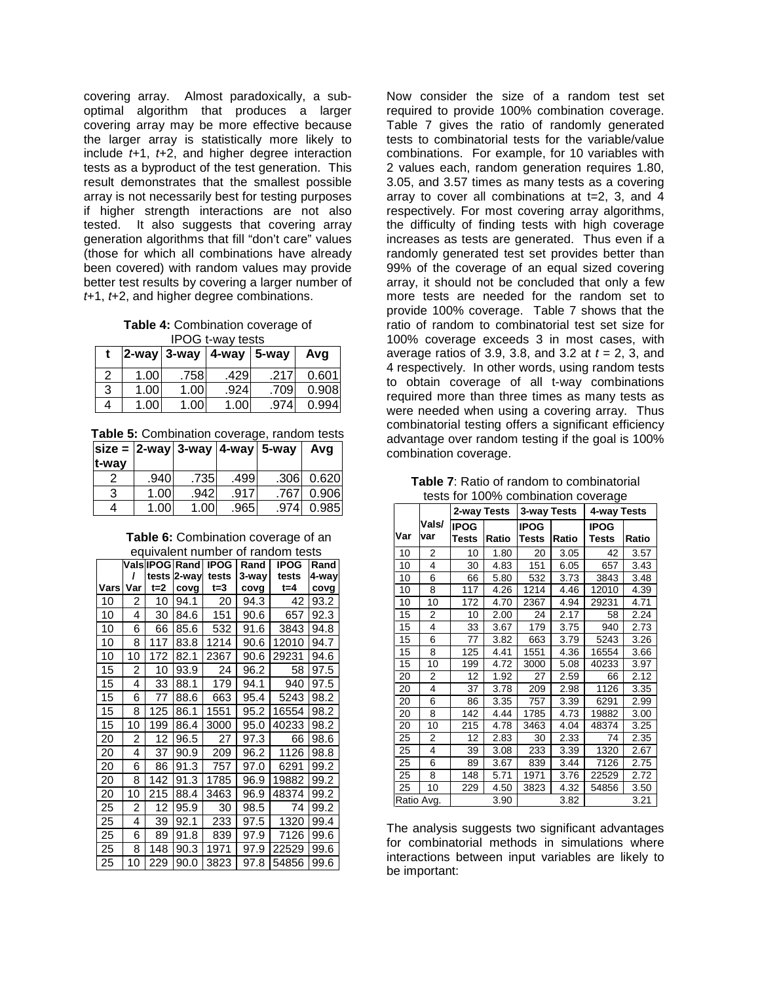covering array. Almost paradoxically, a sub- optimal algorithm that produces a larger covering array may be more effective because the larger array is statistically more likely to include t+1, t+2, and higher degree interaction tests as a byproduct of the test generation. This result demonstrates that the smallest possible array is not necessarily best for testing purposes if higher strength interactions are not also tested. generation algorithms that fill "don't care" values (those for which all combinations have already been covered) with random values may provide better test results by covering a larger number of  $t+1$ ,  $t+2$ , and higher degree combinations. It also suggests that covering array

 **Table 4:** Combination coverage of IPOG t-way tests

|   |                   | $2$ -way $3$ -way | $ 4$ -way $ 5$ -way |      | Avg   |
|---|-------------------|-------------------|---------------------|------|-------|
| 2 | 1.00 <sub>1</sub> | .758              | .429                | .217 | 0.601 |
| 3 | 1.00              | 1.00 <sub>1</sub> | .924                | .709 | 0.908 |
| 4 | 1.00 <sub>1</sub> | 1.00 <sub>1</sub> | 1.00                | .974 | 0.994 |

**Table 5:** Combination coverage, random tests

|       |      | size = $ 2$ -way $ 3$ -way $ 4$ -way $ 5$ -way |       |      | Avq   |
|-------|------|------------------------------------------------|-------|------|-------|
| t-way |      |                                                |       |      |       |
|       | .940 | .735                                           | .499  | .306 | 0.620 |
| 3     | 1.00 | .942                                           | .917  | .767 | 0.906 |
|       | 1.00 | 1.00                                           | .9651 | .974 | 0.985 |

 **Table 6:** Combination coverage of an equivalent number of random tests

|      |     |         | 099.101.11.11.11.11.11.11.11<br>Vals IPOG Rand I | <b>IPOG</b> | Rand  | <b>IPOG</b> | Rand  |
|------|-----|---------|--------------------------------------------------|-------------|-------|-------------|-------|
|      | ı   |         | tests 2-way                                      | tests       | 3-way | tests       | 4-way |
| Vars | Var | $t = 2$ | covg                                             | t=3         | covg  | $t = 4$     | covg  |
| 10   | 2   | 10      | 94.1                                             | 20          | 94.3  | 42          | 93.2  |
| 10   | 4   | 30      | 84.6                                             | 151         | 90.6  | 657         | 92.3  |
| 10   | 6   | 66      | 85.6                                             | 532         | 91.6  | 3843        | 94.8  |
| 10   | 8   | 117     | 83.8                                             | 1214        | 90.6  | 12010       | 94.7  |
| 10   | 10  | 172     | 82.1                                             | 2367        | 90.6  | 29231       | 94.6  |
| 15   | 2   | 10      | 93.9                                             | 24          | 96.2  | 58          | 97.5  |
| 15   | 4   | 33      | 88.1                                             | 179         | 94.1  | 940         | 97.5  |
| 15   | 6   | 77      | 88.6                                             | 663         | 95.4  | 5243        | 98.2  |
| 15   | 8   | 125     | 86.1                                             | 1551        | 95.2  | 16554       | 98.2  |
| 15   | 10  | 199     | 86.4                                             | 3000        | 95.0  | 40233       | 98.2  |
| 20   | 2   | 12      | 96.5                                             | 27          | 97.3  | 66          | 98.6  |
| 20   | 4   | 37      | 90.9                                             | 209         | 96.2  | 1126        | 98.8  |
| 20   | 6   | 86      | 91.3                                             | 757         | 97.0  | 6291        | 99.2  |
| 20   | 8   | 142     | 91.3                                             | 1785        | 96.9  | 19882       | 99.2  |
| 20   | 10  | 215     | 88.4                                             | 3463        | 96.9  | 48374       | 99.2  |
| 25   | 2   | 12      | 95.9                                             | 30          | 98.5  | 74          | 99.2  |
| 25   | 4   | 39      | 92.1                                             | 233         | 97.5  | 1320        | 99.4  |
| 25   | 6   | 89      | 91.8                                             | 839         | 97.9  | 7126        | 99.6  |
| 25   | 8   | 148     | 90.3                                             | 1971        | 97.9  | 22529       | 99.6  |
| 25   | 10  | 229     | 90.0                                             | 3823        | 97.8  | 54856       | 99.6  |

 Now consider the size of a random test set required to provide 100% combination coverage. Table 7 gives the ratio of randomly generated tests to combinatorial tests for the variable/value combinations. For example, for 10 variables with 2 values each, random generation requires 1.80, 3.05, and 3.57 times as many tests as a covering array to cover all combinations at t=2, 3, and 4 respectively. For most covering array algorithms, the difficulty of finding tests with high coverage increases as tests are generated. Thus even if a randomly generated test set provides better than 99% of the coverage of an equal sized covering array, it should not be concluded that only a few more tests are needed for the random set to provide 100% coverage. Table 7 shows that the ratio of random to combinatorial test set size for 100% coverage exceeds 3 in most cases, with average ratios of 3.9, 3.8, and 3.2 at  $t = 2$ , 3, and 4 respectively. In other words, using random tests to obtain coverage of all t-way combinations required more than three times as many tests as were needed when using a covering array. Thus combinatorial testing offers a significant efficiency advantage over random testing if the goal is 100% combination coverage.

 **Table 7**: Ratio of random to combinatorial tests for 100% combination coverage

|            |              | 2-way Tests          |       | 3-way Tests          | s /s comonation corolago | 4-way Tests                 |       |  |
|------------|--------------|----------------------|-------|----------------------|--------------------------|-----------------------------|-------|--|
| Var        | Vals/<br>var | <b>IPOG</b><br>Tests | Ratio | <b>IPOG</b><br>Tests | Ratio                    | <b>IPOG</b><br><b>Tests</b> | Ratio |  |
| 10         | 2            | 10                   | 1.80  | 20                   | 3.05                     | 42                          | 3.57  |  |
| 10         | 4            | 30                   | 4.83  | 151                  | 6.05                     | 657                         | 3.43  |  |
| 10         | 6            | 66                   | 5.80  | 532                  | 3.73                     | 3843                        | 3.48  |  |
| 10         | 8            | 117                  | 4.26  | 1214                 | 4.46                     | 12010                       | 4.39  |  |
| 10         | 10           | 172                  | 4.70  | 2367                 | 4.94                     | 29231                       | 4.71  |  |
| 15         | 2            | 10                   | 2.00  | 24                   | 2.17                     | 58                          | 2.24  |  |
| 15         | 4            | 33                   | 3.67  | 179                  | 3.75                     | 940                         | 2.73  |  |
| 15         | 6            | 77                   | 3.82  | 663                  | 3.79                     | 5243                        | 3.26  |  |
| 15         | 8            | 125                  | 4.41  | 1551                 | 4.36                     | 16554                       | 3.66  |  |
| 15         | 10           | 199                  | 4.72  | 3000                 | 5.08                     | 40233                       | 3.97  |  |
| 20         | 2            | 12                   | 1.92  | 27                   | 2.59                     | 66                          | 2.12  |  |
| 20         | 4            | 37                   | 3.78  | 209                  | 2.98                     | 1126                        | 3.35  |  |
| 20         | 6            | 86                   | 3.35  | 757                  | 3.39                     | 6291                        | 2.99  |  |
| 20         | 8            | 142                  | 4.44  | 1785                 | 4.73                     | 19882                       | 3.00  |  |
| 20         | 10           | 215                  | 4.78  | 3463                 | 4.04                     | 48374                       | 3.25  |  |
| 25         | 2            | 12                   | 2.83  | 30                   | 2.33                     | 74                          | 2.35  |  |
| 25         | 4            | 39                   | 3.08  | 233                  | 3.39                     | 1320                        | 2.67  |  |
| 25         | 6            | 89                   | 3.67  | 839                  | 3.44                     | 7126                        | 2.75  |  |
| 25         | 8            | 148                  | 5.71  | 1971                 | 3.76                     | 22529                       | 2.72  |  |
| 25         | 10           | 229                  | 4.50  | 3823                 | 4.32                     | 54856                       | 3.50  |  |
| Ratio Avg. |              |                      | 3.90  |                      | 3.82                     |                             | 3.21  |  |

 The analysis suggests two significant advantages for combinatorial methods in simulations where interactions between input variables are likely to be important: